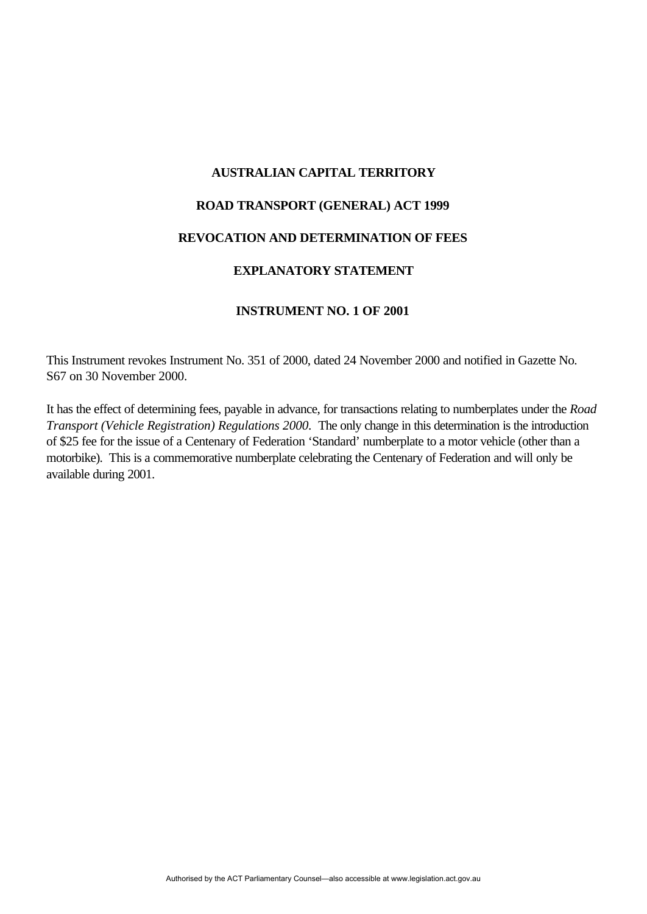# **AUSTRALIAN CAPITAL TERRITORY ROAD TRANSPORT (GENERAL) ACT 1999 REVOCATION AND DETERMINATION OF FEES EXPLANATORY STATEMENT**

#### **INSTRUMENT NO. 1 OF 2001**

This Instrument revokes Instrument No. 351 of 2000, dated 24 November 2000 and notified in Gazette No. S67 on 30 November 2000.

It has the effect of determining fees, payable in advance, for transactions relating to numberplates under the *Road Transport (Vehicle Registration) Regulations 2000.* The only change in this determination is the introduction of \$25 fee for the issue of a Centenary of Federation 'Standard' numberplate to a motor vehicle (other than a motorbike). This is a commemorative numberplate celebrating the Centenary of Federation and will only be available during 2001.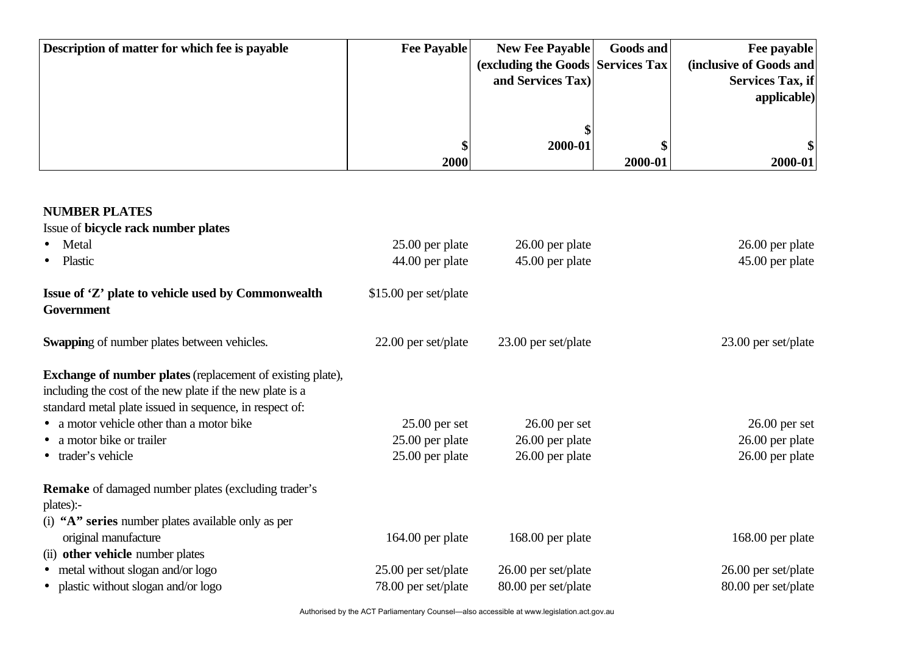| Description of matter for which fee is payable | <b>Fee Payable</b> | <b>New Fee Payable</b>             | <b>Goods and</b> | Fee payable             |
|------------------------------------------------|--------------------|------------------------------------|------------------|-------------------------|
|                                                |                    | (excluding the Goods Services Tax) |                  | (inclusive of Goods and |
|                                                |                    | and Services Tax)                  |                  | <b>Services Tax, if</b> |
|                                                |                    |                                    |                  | applicable)             |
|                                                |                    |                                    |                  |                         |
|                                                |                    |                                    |                  |                         |
|                                                |                    | 2000-01                            |                  |                         |
|                                                | 2000               |                                    | 2000-01          | 2000-01                 |

### **NUMBER PLATES**

Issue of **bicycle rack number plates**

| Metal                                                                                                                                                                                     | 25.00 per plate       | 26.00 per plate       | 26.00 per plate     |
|-------------------------------------------------------------------------------------------------------------------------------------------------------------------------------------------|-----------------------|-----------------------|---------------------|
| Plastic                                                                                                                                                                                   | 44.00 per plate       | 45.00 per plate       | 45.00 per plate     |
| Issue of 'Z' plate to vehicle used by Commonwealth<br>Government                                                                                                                          | \$15.00 per set/plate |                       |                     |
| <b>Swapping of number plates between vehicles.</b>                                                                                                                                        | $22.00$ per set/plate | $23.00$ per set/plate | 23.00 per set/plate |
| <b>Exchange of number plates</b> (replacement of existing plate),<br>including the cost of the new plate if the new plate is a<br>standard metal plate issued in sequence, in respect of: |                       |                       |                     |
| • a motor vehicle other than a motor bike                                                                                                                                                 | $25.00$ per set       | $26.00$ per set       | $26.00$ per set     |
| • a motor bike or trailer                                                                                                                                                                 | 25.00 per plate       | $26.00$ per plate     | 26.00 per plate     |
| • trader's vehicle                                                                                                                                                                        | 25.00 per plate       | 26.00 per plate       | 26.00 per plate     |
| <b>Remake</b> of damaged number plates (excluding trader's<br>plates):-                                                                                                                   |                       |                       |                     |
| (i) "A" series number plates available only as per                                                                                                                                        |                       |                       |                     |
| original manufacture                                                                                                                                                                      | $164.00$ per plate    | 168.00 per plate      | 168.00 per plate    |
| (ii) other vehicle number plates                                                                                                                                                          |                       |                       |                     |
| • metal without slogan and/or logo                                                                                                                                                        | 25.00 per set/plate   | $26.00$ per set/plate | 26.00 per set/plate |
| • plastic without slogan and/or logo                                                                                                                                                      | 78.00 per set/plate   | 80.00 per set/plate   | 80.00 per set/plate |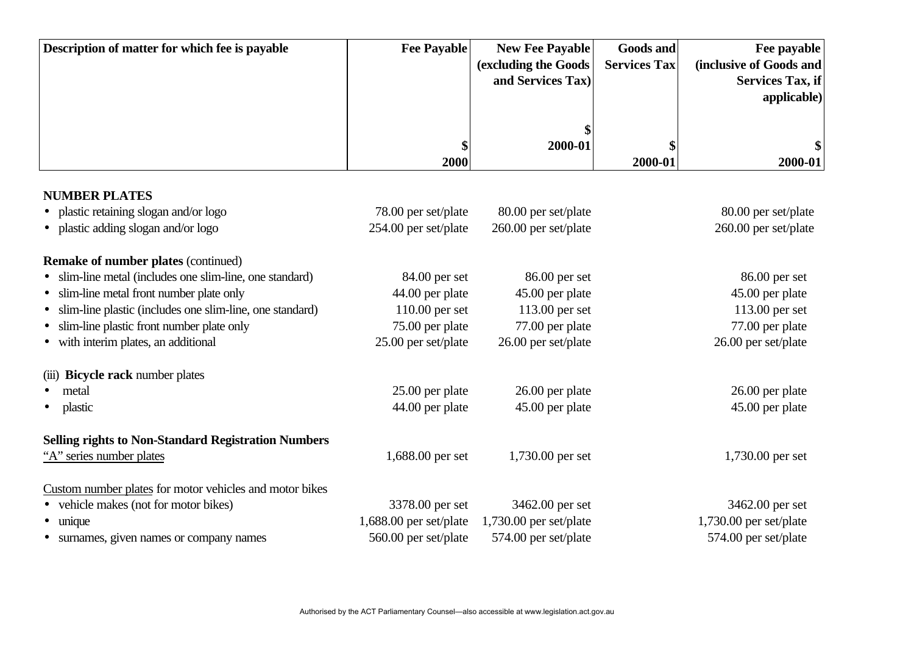| Description of matter for which fee is payable             | <b>Fee Payable</b>     | <b>New Fee Payable</b><br>(excluding the Goods<br>and Services Tax) | <b>Goods and</b><br><b>Services Tax</b> | Fee payable<br>(inclusive of Goods and<br><b>Services Tax, if</b><br>applicable) |
|------------------------------------------------------------|------------------------|---------------------------------------------------------------------|-----------------------------------------|----------------------------------------------------------------------------------|
|                                                            | \$<br>2000             | 2000-01                                                             | 2000-01                                 | \$<br>2000-01                                                                    |
| <b>NUMBER PLATES</b>                                       |                        |                                                                     |                                         |                                                                                  |
| plastic retaining slogan and/or logo                       | 78.00 per set/plate    | 80.00 per set/plate                                                 |                                         | 80.00 per set/plate                                                              |
| plastic adding slogan and/or logo                          | 254.00 per set/plate   | 260.00 per set/plate                                                |                                         | 260.00 per set/plate                                                             |
| <b>Remake of number plates (continued)</b>                 |                        |                                                                     |                                         |                                                                                  |
| slim-line metal (includes one slim-line, one standard)     | 84.00 per set          | 86.00 per set                                                       |                                         | 86.00 per set                                                                    |
| slim-line metal front number plate only                    | 44.00 per plate        | 45.00 per plate                                                     |                                         | 45.00 per plate                                                                  |
| slim-line plastic (includes one slim-line, one standard)   | 110.00 per set         | 113.00 per set                                                      |                                         | 113.00 per set                                                                   |
| slim-line plastic front number plate only                  | 75.00 per plate        | 77.00 per plate                                                     |                                         | 77.00 per plate                                                                  |
| with interim plates, an additional                         | 25.00 per set/plate    | 26.00 per set/plate                                                 |                                         | 26.00 per set/plate                                                              |
| (iii) Bicycle rack number plates                           |                        |                                                                     |                                         |                                                                                  |
| metal                                                      | 25.00 per plate        | 26.00 per plate                                                     |                                         | 26.00 per plate                                                                  |
| plastic                                                    | 44.00 per plate        | 45.00 per plate                                                     |                                         | 45.00 per plate                                                                  |
| <b>Selling rights to Non-Standard Registration Numbers</b> |                        |                                                                     |                                         |                                                                                  |
| "A" series number plates                                   | 1,688.00 per set       | 1,730.00 per set                                                    |                                         | 1,730.00 per set                                                                 |
| Custom number plates for motor vehicles and motor bikes    |                        |                                                                     |                                         |                                                                                  |
| vehicle makes (not for motor bikes)                        | 3378.00 per set        | 3462.00 per set                                                     |                                         | 3462.00 per set                                                                  |
| unique                                                     | 1,688.00 per set/plate | 1,730.00 per set/plate                                              |                                         | 1,730.00 per set/plate                                                           |
| surnames, given names or company names                     | 560.00 per set/plate   | 574.00 per set/plate                                                |                                         | 574.00 per set/plate                                                             |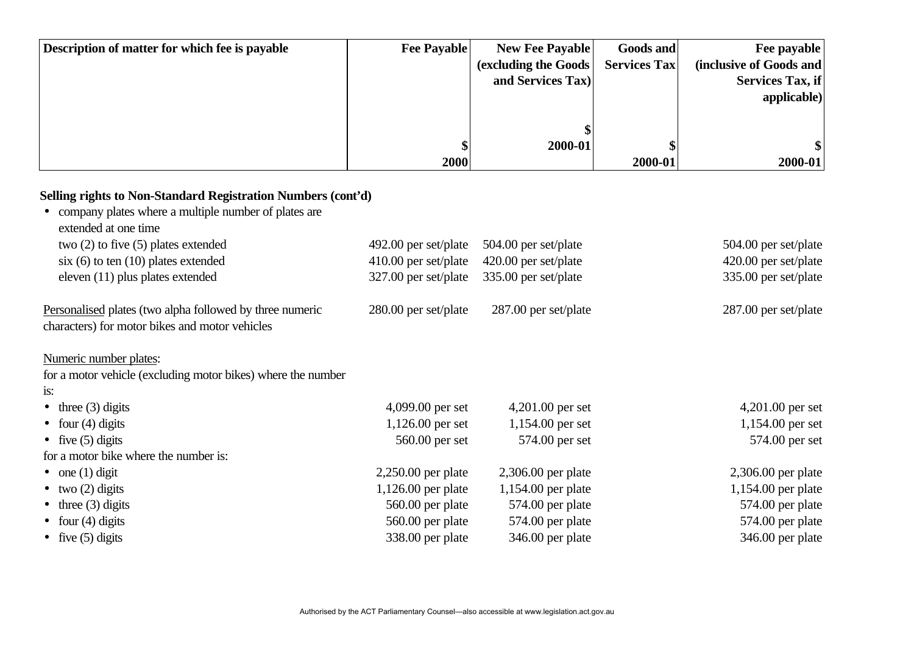| Description of matter for which fee is payable | <b>Fee Payable</b> | <b>New Fee Payable</b> | <b>Goods and</b>    | Fee payable             |
|------------------------------------------------|--------------------|------------------------|---------------------|-------------------------|
|                                                |                    | (excluding the Goods)  | <b>Services Tax</b> | (inclusive of Goods and |
|                                                |                    | and Services Tax)      |                     | Services Tax, if        |
|                                                |                    |                        |                     | applicable)             |
|                                                |                    |                        |                     |                         |
|                                                |                    |                        |                     |                         |
|                                                |                    | 2000-01                |                     |                         |
|                                                | 2000               |                        | 2000-01             | 2000-01                 |

## **Selling rights to Non-Standard Registration Numbers (cont'd)**

| 492.00 per set/plate   | 504.00 per set/plate   | 504.00 per set/plate |
|------------------------|------------------------|----------------------|
| $410.00$ per set/plate | 420.00 per set/plate   | 420.00 per set/plate |
| 327.00 per set/plate   | 335.00 per set/plate   | 335.00 per set/plate |
| 280.00 per set/plate   | $287.00$ per set/plate | 287.00 per set/plate |
|                        |                        |                      |
|                        |                        |                      |
|                        |                        |                      |
|                        |                        |                      |
| 4,099.00 per set       | $4,201.00$ per set     | $4,201.00$ per set   |
| $1,126.00$ per set     | $1,154.00$ per set     | 1,154.00 per set     |
| 560.00 per set         | 574.00 per set         | 574.00 per set       |
|                        |                        |                      |
| $2,250.00$ per plate   | $2,306.00$ per plate   | $2,306.00$ per plate |
| $1,126.00$ per plate   | $1,154.00$ per plate   | 1,154.00 per plate   |
| 560.00 per plate       | 574.00 per plate       | 574.00 per plate     |
| 560.00 per plate       | 574.00 per plate       | 574.00 per plate     |
| 338.00 per plate       | 346.00 per plate       | 346.00 per plate     |
|                        |                        |                      |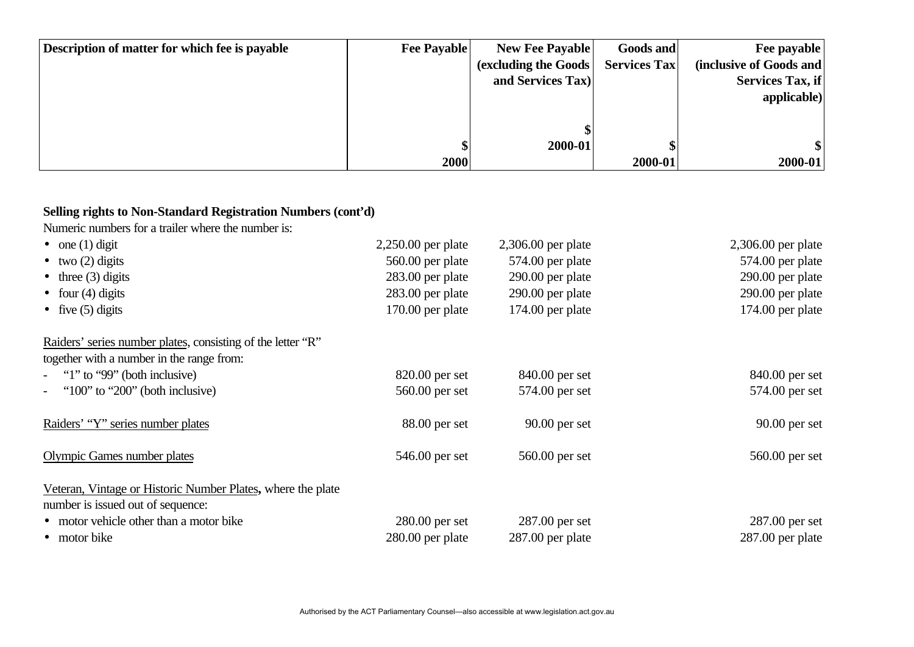| Description of matter for which fee is payable | <b>Fee Payable</b> | <b>New Fee Payable</b> | Goods and           | Fee payable             |
|------------------------------------------------|--------------------|------------------------|---------------------|-------------------------|
|                                                |                    | (excluding the Goods)  | <b>Services Tax</b> | (inclusive of Goods and |
|                                                |                    | and Services Tax)      |                     | Services Tax, if        |
|                                                |                    |                        |                     | applicable)             |
|                                                |                    |                        |                     |                         |
|                                                |                    |                        |                     |                         |
|                                                |                    | 2000-01                |                     |                         |
|                                                | 2000               |                        | 2000-01             | 2000-01                 |

#### **Selling rights to Non-Standard Registration Numbers (cont'd)**

Numeric numbers for a trailer where the number is:

| $\bullet$ one (1) digit                                     | $2,250.00$ per plate | $2,306.00$ per plate | 2,306.00 per plate |
|-------------------------------------------------------------|----------------------|----------------------|--------------------|
| $\bullet$ two (2) digits                                    | 560.00 per plate     | 574.00 per plate     | 574.00 per plate   |
| $\bullet$ three (3) digits                                  | 283.00 per plate     | $290.00$ per plate   | 290.00 per plate   |
| • four $(4)$ digits                                         | $283.00$ per plate   | $290.00$ per plate   | 290.00 per plate   |
| • five $(5)$ digits                                         | $170.00$ per plate   | $174.00$ per plate   | 174.00 per plate   |
| Raiders' series number plates, consisting of the letter "R" |                      |                      |                    |
| together with a number in the range from:                   |                      |                      |                    |
| - "1" to "99" (both inclusive)                              | $820.00$ per set     | 840.00 per set       | 840.00 per set     |
| - " $100$ " to " $200$ " (both inclusive)                   | 560.00 per set       | 574.00 per set       | 574.00 per set     |
| Raiders' "Y" series number plates                           | $88.00$ per set      | $90.00$ per set      | $90.00$ per set    |
| Olympic Games number plates                                 | 546.00 per set       | 560.00 per set       | 560.00 per set     |
| Veteran, Vintage or Historic Number Plates, where the plate |                      |                      |                    |
| number is issued out of sequence:                           |                      |                      |                    |
| • motor vehicle other than a motor bike                     | $280.00$ per set     | $287.00$ per set     | $287.00$ per set   |
| • motor bike                                                | $280.00$ per plate   | $287.00$ per plate   | $287.00$ per plate |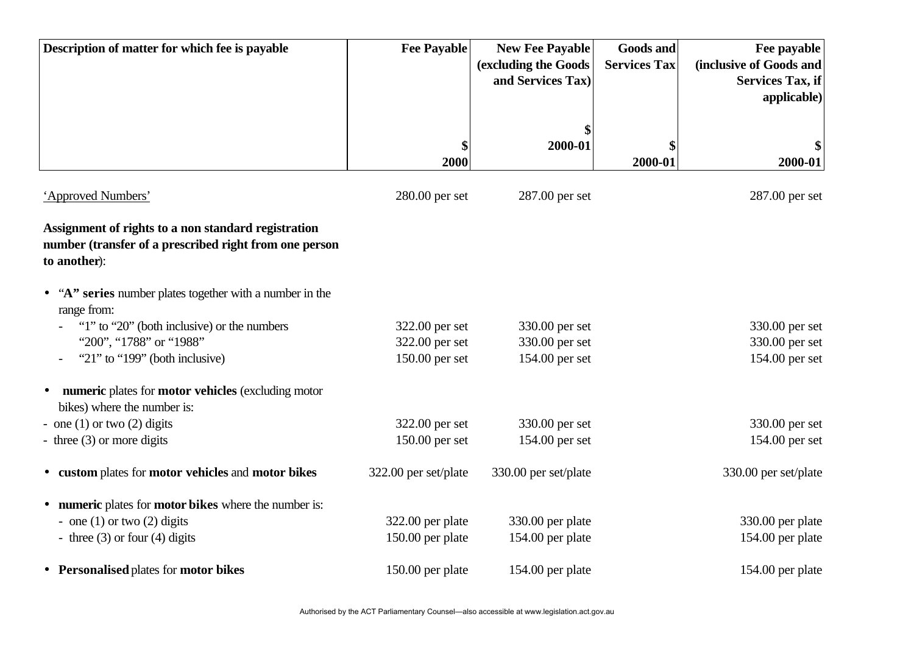| Description of matter for which fee is payable                                                                                | <b>Fee Payable</b>   | <b>New Fee Payable</b><br>(excluding the Goods<br>and Services Tax) | <b>Goods and</b><br><b>Services Tax</b> | Fee payable<br>(inclusive of Goods and<br><b>Services Tax, if</b><br>applicable) |
|-------------------------------------------------------------------------------------------------------------------------------|----------------------|---------------------------------------------------------------------|-----------------------------------------|----------------------------------------------------------------------------------|
|                                                                                                                               | \$<br>2000           | 2000-01                                                             | 2000-01                                 | 2000-01                                                                          |
| 'Approved Numbers'                                                                                                            | 280.00 per set       | 287.00 per set                                                      |                                         | 287.00 per set                                                                   |
| Assignment of rights to a non standard registration<br>number (transfer of a prescribed right from one person<br>to another): |                      |                                                                     |                                         |                                                                                  |
| • "A" series number plates together with a number in the<br>range from:                                                       |                      |                                                                     |                                         |                                                                                  |
| "1" to "20" (both inclusive) or the numbers                                                                                   | 322.00 per set       | 330.00 per set                                                      |                                         | 330.00 per set                                                                   |
| "200", "1788" or "1988"                                                                                                       | 322.00 per set       | 330.00 per set                                                      |                                         | 330.00 per set                                                                   |
| "21" to "199" (both inclusive)                                                                                                | 150.00 per set       | 154.00 per set                                                      |                                         | 154.00 per set                                                                   |
| numeric plates for motor vehicles (excluding motor<br>bikes) where the number is:                                             |                      |                                                                     |                                         |                                                                                  |
| - one $(1)$ or two $(2)$ digits                                                                                               | 322.00 per set       | 330.00 per set                                                      |                                         | 330.00 per set                                                                   |
| - three $(3)$ or more digits                                                                                                  | 150.00 per set       | 154.00 per set                                                      |                                         | 154.00 per set                                                                   |
| • custom plates for motor vehicles and motor bikes                                                                            | 322.00 per set/plate | 330.00 per set/plate                                                |                                         | 330.00 per set/plate                                                             |
| numeric plates for motor bikes where the number is:                                                                           |                      |                                                                     |                                         |                                                                                  |
| - one $(1)$ or two $(2)$ digits                                                                                               | 322.00 per plate     | 330.00 per plate                                                    |                                         | 330.00 per plate                                                                 |
| - three $(3)$ or four $(4)$ digits                                                                                            | 150.00 per plate     | 154.00 per plate                                                    |                                         | 154.00 per plate                                                                 |
| • Personalised plates for motor bikes                                                                                         | 150.00 per plate     | 154.00 per plate                                                    |                                         | 154.00 per plate                                                                 |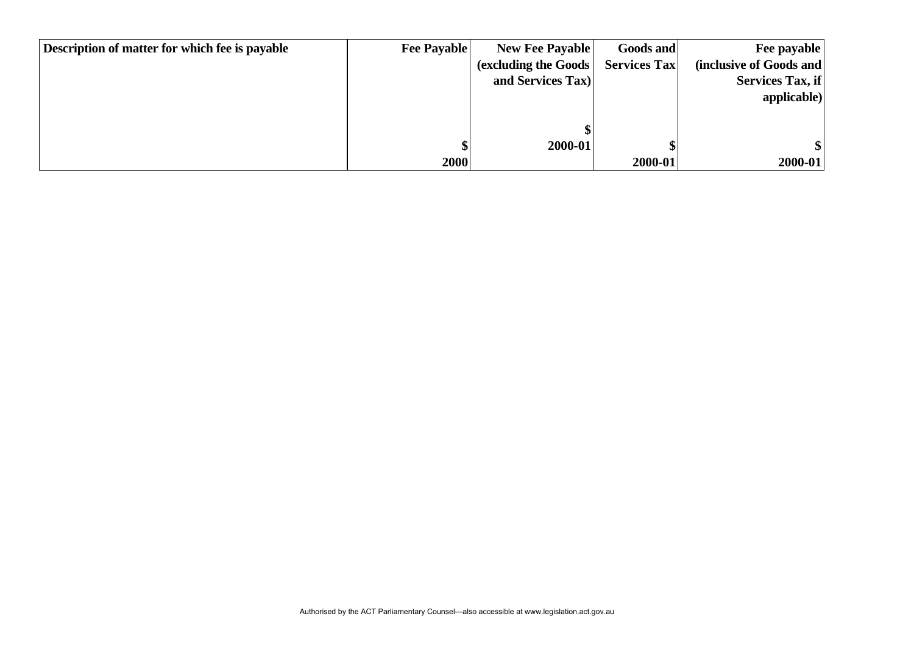| Description of matter for which fee is payable | <b>Fee Payable</b> | <b>New Fee Payable</b> | Goods and           | Fee payable             |
|------------------------------------------------|--------------------|------------------------|---------------------|-------------------------|
|                                                |                    | (excluding the Goods)  | <b>Services Tax</b> | (inclusive of Goods and |
|                                                |                    | and Services Tax)      |                     | Services Tax, if        |
|                                                |                    |                        |                     | applicable)             |
|                                                |                    |                        |                     |                         |
|                                                |                    |                        |                     |                         |
|                                                |                    | 2000-01                |                     |                         |
|                                                | 2000               |                        | 2000-01             | $2000 - 01$             |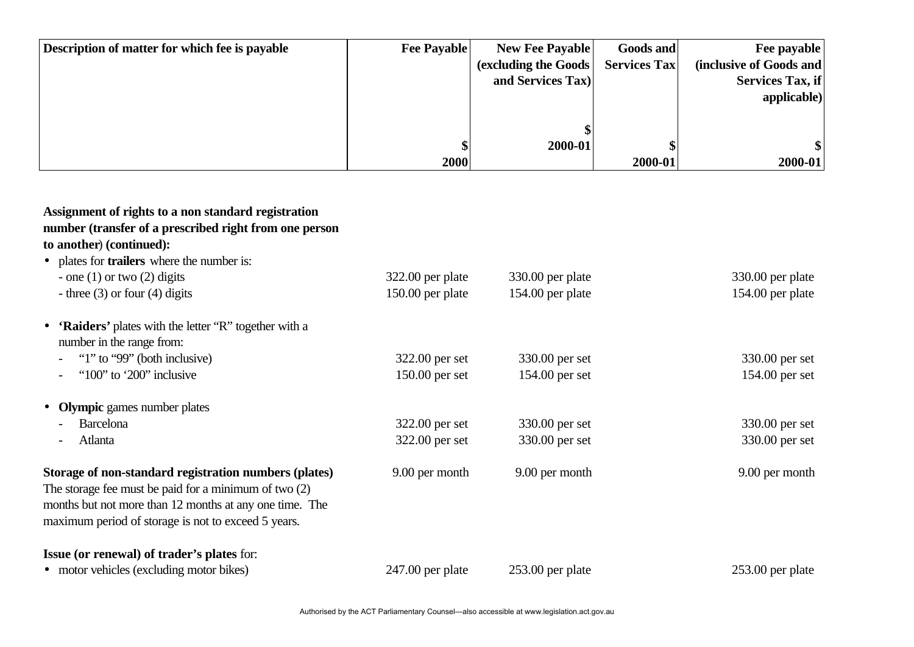| Description of matter for which fee is payable | <b>Fee Payable</b> | <b>New Fee Payable</b> | <b>Goods and</b>    | Fee payable             |
|------------------------------------------------|--------------------|------------------------|---------------------|-------------------------|
|                                                |                    | (excluding the Goods)  | <b>Services Tax</b> | (inclusive of Goods and |
|                                                |                    | and Services Tax)      |                     | Services Tax, if        |
|                                                |                    |                        |                     | applicable)             |
|                                                |                    |                        |                     |                         |
|                                                |                    |                        |                     |                         |
|                                                |                    | 2000-01                |                     |                         |
|                                                | 2000               |                        | 2000-01             | $2000 - 01$             |

| Assignment of rights to a non standard registration<br>number (transfer of a prescribed right from one person<br>to another) (continued):                                                                                          |                    |                    |                    |
|------------------------------------------------------------------------------------------------------------------------------------------------------------------------------------------------------------------------------------|--------------------|--------------------|--------------------|
| • plates for <b>trailers</b> where the number is:                                                                                                                                                                                  |                    |                    |                    |
| - one $(1)$ or two $(2)$ digits                                                                                                                                                                                                    | $322.00$ per plate | 330.00 per plate   | 330.00 per plate   |
| - three $(3)$ or four $(4)$ digits                                                                                                                                                                                                 | 150.00 per plate   | 154.00 per plate   | 154.00 per plate   |
| • 'Raiders' plates with the letter "R" together with a                                                                                                                                                                             |                    |                    |                    |
| number in the range from:                                                                                                                                                                                                          |                    |                    |                    |
| "1" to "99" (both inclusive)                                                                                                                                                                                                       | 322.00 per set     | 330.00 per set     | 330.00 per set     |
| "100" to '200" inclusive                                                                                                                                                                                                           | $150.00$ per set   | 154.00 per set     | 154.00 per set     |
| <b>Olympic</b> games number plates<br>$\bullet$                                                                                                                                                                                    |                    |                    |                    |
| <b>Barcelona</b>                                                                                                                                                                                                                   | 322.00 per set     | 330.00 per set     | 330.00 per set     |
| Atlanta                                                                                                                                                                                                                            | 322.00 per set     | 330.00 per set     | 330.00 per set     |
| Storage of non-standard registration numbers (plates)<br>The storage fee must be paid for a minimum of two $(2)$<br>months but not more than 12 months at any one time. The<br>maximum period of storage is not to exceed 5 years. | 9.00 per month     | 9.00 per month     | 9.00 per month     |
| <b>Issue (or renewal) of trader's plates for:</b><br>• motor vehicles (excluding motor bikes)                                                                                                                                      | $247.00$ per plate | $253.00$ per plate | $253.00$ per plate |